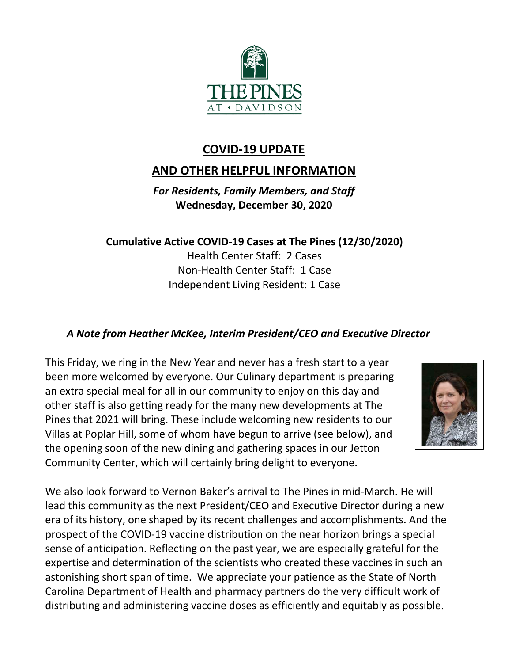

# **COVID-19 UPDATE**

# **AND OTHER HELPFUL INFORMATION**

*For Residents, Family Members, and Staff* **Wednesday, December 30, 2020**

**Cumulative Active COVID-19 Cases at The Pines (12/30/2020)** Health Center Staff: 2 Cases Non-Health Center Staff: 1 Case Independent Living Resident: 1 Case

# *A Note from Heather McKee, Interim President/CEO and Executive Director*

This Friday, we ring in the New Year and never has a fresh start to a year been more welcomed by everyone. Our Culinary department is preparing an extra special meal for all in our community to enjoy on this day and other staff is also getting ready for the many new developments at The Pines that 2021 will bring. These include welcoming new residents to our Villas at Poplar Hill, some of whom have begun to arrive (see below), and the opening soon of the new dining and gathering spaces in our Jetton Community Center, which will certainly bring delight to everyone.



We also look forward to Vernon Baker's arrival to The Pines in mid-March. He will lead this community as the next President/CEO and Executive Director during a new era of its history, one shaped by its recent challenges and accomplishments. And the prospect of the COVID-19 vaccine distribution on the near horizon brings a special sense of anticipation. Reflecting on the past year, we are especially grateful for the expertise and determination of the scientists who created these vaccines in such an astonishing short span of time. We appreciate your patience as the State of North Carolina Department of Health and pharmacy partners do the very difficult work of distributing and administering vaccine doses as efficiently and equitably as possible.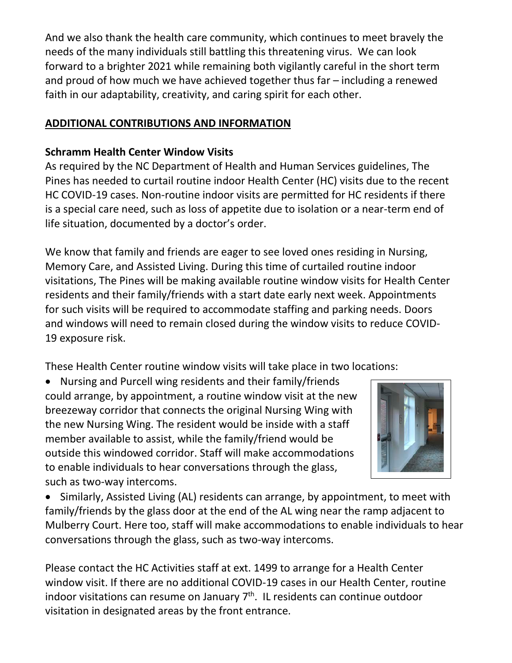And we also thank the health care community, which continues to meet bravely the needs of the many individuals still battling this threatening virus. We can look forward to a brighter 2021 while remaining both vigilantly careful in the short term and proud of how much we have achieved together thus far – including a renewed faith in our adaptability, creativity, and caring spirit for each other.

## **ADDITIONAL CONTRIBUTIONS AND INFORMATION**

#### **Schramm Health Center Window Visits**

As required by the NC Department of Health and Human Services guidelines, The Pines has needed to curtail routine indoor Health Center (HC) visits due to the recent HC COVID-19 cases. Non-routine indoor visits are permitted for HC residents if there is a special care need, such as loss of appetite due to isolation or a near-term end of life situation, documented by a doctor's order.

We know that family and friends are eager to see loved ones residing in Nursing, Memory Care, and Assisted Living. During this time of curtailed routine indoor visitations, The Pines will be making available routine window visits for Health Center residents and their family/friends with a start date early next week. Appointments for such visits will be required to accommodate staffing and parking needs. Doors and windows will need to remain closed during the window visits to reduce COVID-19 exposure risk.

These Health Center routine window visits will take place in two locations:

• Nursing and Purcell wing residents and their family/friends could arrange, by appointment, a routine window visit at the new breezeway corridor that connects the original Nursing Wing with the new Nursing Wing. The resident would be inside with a staff member available to assist, while the family/friend would be outside this windowed corridor. Staff will make accommodations to enable individuals to hear conversations through the glass, such as two-way intercoms.



• Similarly, Assisted Living (AL) residents can arrange, by appointment, to meet with family/friends by the glass door at the end of the AL wing near the ramp adjacent to Mulberry Court. Here too, staff will make accommodations to enable individuals to hear conversations through the glass, such as two-way intercoms.

Please contact the HC Activities staff at ext. 1499 to arrange for a Health Center window visit. If there are no additional COVID-19 cases in our Health Center, routine indoor visitations can resume on January  $7<sup>th</sup>$ . IL residents can continue outdoor visitation in designated areas by the front entrance.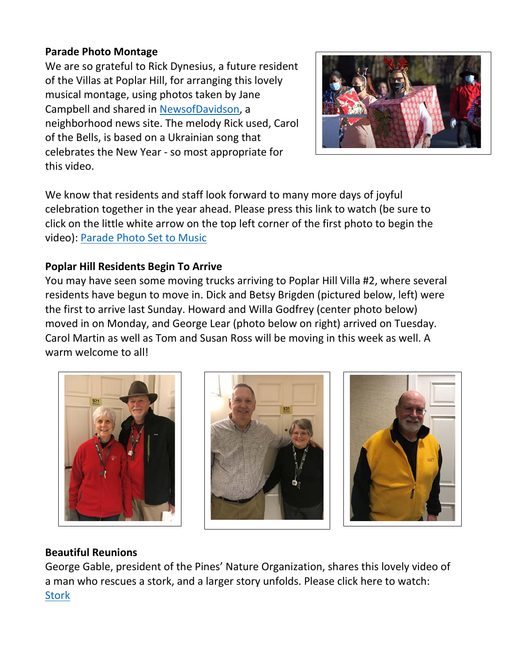## **Parade Photo Montage**

We are so grateful to Rick Dynesius, a future resident of the Villas at Poplar Hill, for arranging this lovely musical montage, using photos taken by Jane Campbell and shared in [NewsofDavidson,](https://newsofdavidson.org/) a neighborhood news site. The melody Rick used, Carol of the Bells, is based on a Ukrainian song that celebrates the New Year - so most appropriate for this video.



We know that residents and staff look forward to many more days of joyful celebration together in the year ahead. Please press this link to watch (be sure to click on the little white arrow on the top left corner of the first photo to begin the video): [Parade Photo Set to Music](https://photos.app.goo.gl/cYZ2FPye7ERhKmFN9)

## **Poplar Hill Residents Begin To Arrive**

You may have seen some moving trucks arriving to Poplar Hill Villa #2, where several residents have begun to move in. Dick and Betsy Brigden (pictured below, left) were the first to arrive last Sunday. Howard and Willa Godfrey (center photo below) moved in on Monday, and George Lear (photo below on right) arrived on Tuesday. Carol Martin as well as Tom and Susan Ross will be moving in this week as well. A warm welcome to all!







## **Beautiful Reunions**

George Gable, president of the Pines' Nature Organization, shares this lovely video of a man who rescues a stork, and a larger story unfolds. Please click here to watch: **[Stork](https://youtu.be/Y9rs14vklsE)**